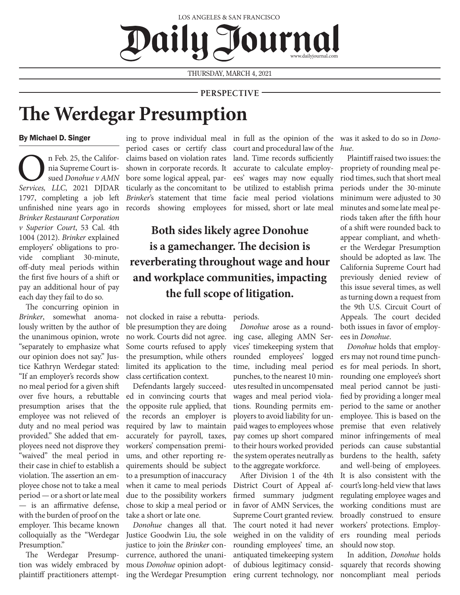### LOS ANGELES & SAN FRANCISCO Daily J sournal www.dailyjournal.com

THURSDAY, MARCH 4, 2021

### **PERSPECTIVE**

# **The Werdegar Presumption**

#### By Michael D. Singer

On Feb. 25, the Califor-*Services, LLC*, 2021 DJDAR nia Supreme Court issued *Donohue v AMN*  1797, completing a job left unfinished nine years ago in *Brinker Restaurant Corporation v Superior Court*, 53 Cal. 4th 1004 (2012). *Brinker* explained employers' obligations to provide compliant 30-minute, off-duty meal periods within the first five hours of a shift or pay an additional hour of pay each day they fail to do so.

The concurring opinion in *Brinker*, somewhat anomalously written by the author of the unanimous opinion, wrote "separately to emphasize what our opinion does not say." Justice Kathryn Werdegar stated: "If an employer's records show no meal period for a given shift over five hours, a rebuttable presumption arises that the employee was not relieved of duty and no meal period was provided." She added that employees need not disprove they "waived" the meal period in their case in chief to establish a violation. The assertion an employee chose not to take a meal period — or a short or late meal — is an affirmative defense, with the burden of proof on the employer. This became known colloquially as the "Werdegar Presumption."

The Werdegar Presumption was widely embraced by plaintiff practitioners attemptperiod cases or certify class claims based on violation rates shown in corporate records. It bore some logical appeal, particularly as the concomitant to records showing employees for missed, short or late meal

*Brinker*'s statement that time facie meal period violations court and procedural law of the land. Time records sufficiently accurate to calculate employees' wages may now equally be utilized to establish prima

## **Both sides likely agree Donohue is a gamechanger. The decision is reverberating throughout wage and hour and workplace communities, impacting the full scope of litigation.**

not clocked in raise a rebuttable presumption they are doing no work. Courts did not agree. Some courts refused to apply the presumption, while others limited its application to the class certification context.

Defendants largely succeeded in convincing courts that the opposite rule applied, that the records an employer is required by law to maintain accurately for payroll, taxes, workers' compensation premiums, and other reporting requirements should be subject to a presumption of inaccuracy when it came to meal periods due to the possibility workers chose to skip a meal period or take a short or late one.

*Donohue* changes all that. Justice Goodwin Liu, the sole justice to join the *Brinker* concurrence, authored the unanimous *Donohue* opinion adopting the Werdegar Presumption periods.

*Donohue* arose as a rounding case, alleging AMN Services' timekeeping system that rounded employees' logged time, including meal period punches, to the nearest 10 minutes resulted in uncompensated wages and meal period violations. Rounding permits employers to avoid liability for unpaid wages to employees whose pay comes up short compared to their hours worked provided the system operates neutrally as to the aggregate workforce.

After Division 1 of the 4th District Court of Appeal affirmed summary judgment in favor of AMN Services, the Supreme Court granted review. The court noted it had never weighed in on the validity of rounding employees' time, an antiquated timekeeping system of dubious legitimacy considering current technology, nor

ing to prove individual meal in full as the opinion of the was it asked to do so in *Donohue*.

> Plaintiff raised two issues: the propriety of rounding meal period times, such that short meal periods under the 30-minute minimum were adjusted to 30 minutes and some late meal periods taken after the fifth hour of a shift were rounded back to appear compliant, and whether the Werdegar Presumption should be adopted as law. The California Supreme Court had previously denied review of this issue several times, as well as turning down a request from the 9th U.S. Circuit Court of Appeals. The court decided both issues in favor of employees in *Donohue*.

> *Donohue* holds that employers may not round time punches for meal periods. In short, rounding one employee's short meal period cannot be justified by providing a longer meal period to the same or another employee. This is based on the premise that even relatively minor infringements of meal periods can cause substantial burdens to the health, safety and well-being of employees. It is also consistent with the court's long-held view that laws regulating employee wages and working conditions must are broadly construed to ensure workers' protections. Employers rounding meal periods should now stop.

> In addition, *Donohue* holds squarely that records showing noncompliant meal periods